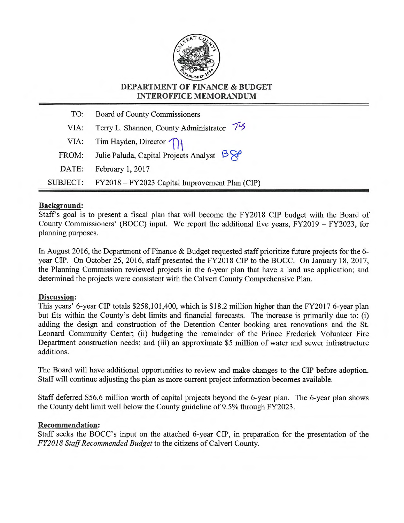

#### **DEPARTMENT OF FINANCE & BUDGET INTEROFFICE MEMORANDUM**

| TO:   | <b>Board of County Commissioners</b>                               |  |
|-------|--------------------------------------------------------------------|--|
| VIA:  | Terry L. Shannon, County Administrator 75                          |  |
|       | VIA: Tim Hayden, Director                                          |  |
| FROM: | Julie Paluda, Capital Projects Analyst $\beta \hat{\triangledown}$ |  |
| DATE: | February 1, 2017                                                   |  |
|       | SUBJECT: FY2018 - FY2023 Capital Improvement Plan (CIP)            |  |

#### **Background:**

Staffs goal is to present a fiscal plan that will become the FY2018 CIP budget with the Board of County Commissioners' (BOCC) input. We report the additional five years, FY2019 — FY2023, for planning purposes.

In August 2016, the Department of Finance & Budget requested staff prioritize future projects for the 6 year CIP. On October 25, 2016, staff presented the FY2018 CIP to the BOCC. On January 18, 2017, the Planning Commission reviewed projects in the 6-year plan that have a land use application; and determined the projects were consistent with the Calvert County Comprehensive Plan.

#### **Discussion:**

This years' 6-year CIP totals \$258,101,400, which is \$18 2 million higher than the FY2017 6-year plan but fits within the County's debt limits and financial forecasts. The increase is primarily due to: (i) adding the design and construction of the Detention Center booking area renovations and the St. Leonard Community Center; (ii) budgeting the remainder of the Prince Frederick Volunteer Fire Department construction needs; and (iii) an approximate \$5 million of water and sewer infrastructure additions.

The Board will have additional opportunities to review and make changes to the CIP before adoption. Staff will continue adjusting the plan as more current project information becomes available.

Staff deferred \$56.6 million worth of capital projects beyond the 6-year plan. The 6-year plan shows the County debt limit well below the County guideline of 9.5% through FY2023.

#### **Recommendation:**

Staff seeks the BOCC's input on the attached 6-year CIP, in preparation for the presentation of the *FY2018 Staff Recommended Budget* to the citizens of Calvert County.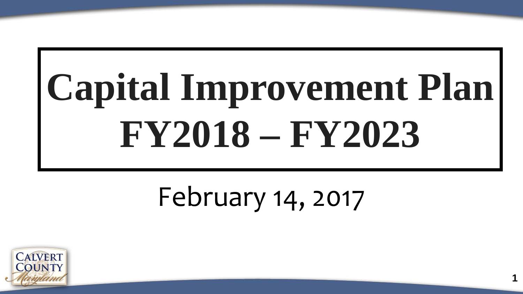# **Capital Improvement Plan FY2018 – FY2023**

### February 14, 2017

**1**

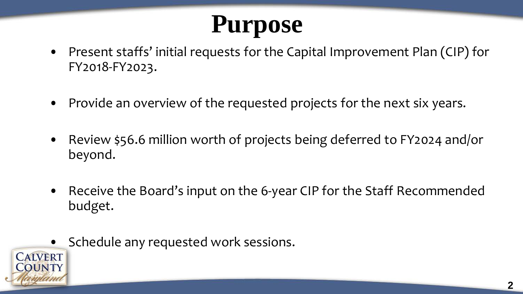### **Purpose**

- Present staffs' initial requests for the Capital Improvement Plan (CIP) for FY2018-FY2023.
- Provide an overview of the requested projects for the next six years.
- Review \$56.6 million worth of projects being deferred to FY2024 and/or beyond.
- Receive the Board's input on the 6-year CIP for the Staff Recommended budget.
- Schedule any requested work sessions.

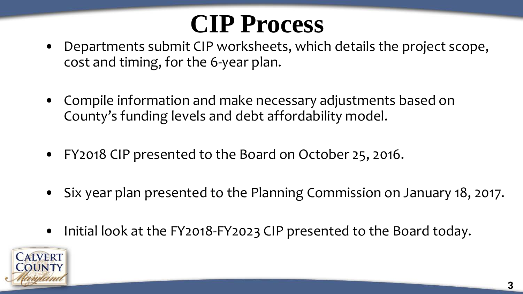### **CIP Process**

- Departments submit CIP worksheets, which details the project scope, cost and timing, for the 6-year plan.
- Compile information and make necessary adjustments based on County's funding levels and debt affordability model.
- FY2018 CIP presented to the Board on October 25, 2016.
- Six year plan presented to the Planning Commission on January 18, 2017.
- Initial look at the FY2018-FY2023 CIP presented to the Board today.

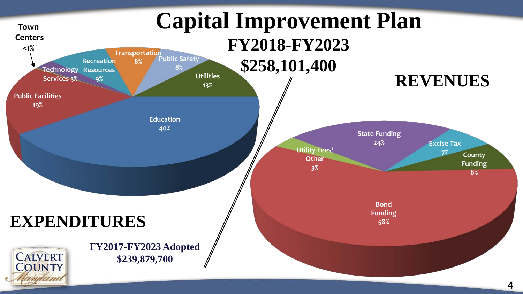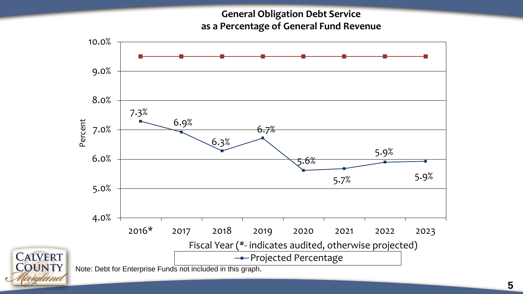**General Obligation Debt Service as a Percentage of General Fund Revenue**



unana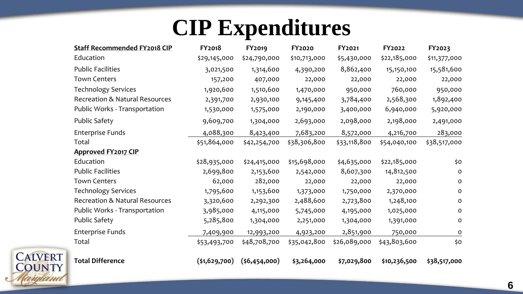### **CIP Expenditures**

| <b>Staff Recommended FY2018 CIP</b> | <b>FY2018</b> | FY2019         | <b>FY2020</b> | FY2021       | FY2022       | FY2023       |
|-------------------------------------|---------------|----------------|---------------|--------------|--------------|--------------|
| Education                           | \$29,145,000  | \$24,790,000   | \$10,713,000  | \$5,430,000  | \$22,185,000 | \$11,377,000 |
| <b>Public Facilities</b>            | 3,021,500     | 1,314,600      | 4,390,200     | 8,862,400    | 15,150,100   | 15,581,600   |
| <b>Town Centers</b>                 | 157,200       | 407,000        | 22,000        | 22,000       | 22,000       | 22,000       |
| <b>Technology Services</b>          | 1,920,600     | 1,510,600      | 1,470,000     | 950,000      | 760,000      | 950,000      |
| Recreation & Natural Resources      | 2,391,700     | 2,930,100      | 9,145,400     | 3,784,400    | 2,568,300    | 1,892,400    |
| Public Works - Transportation       | 1,530,000     | 1,575,000      | 2,190,000     | 3,400,000    | 6,940,000    | 5,920,000    |
| <b>Public Safety</b>                | 9,609,700     | 1,304,000      | 2,693,000     | 2,098,000    | 2,198,000    | 2,491,000    |
| Enterprise Funds                    | 4,088,300     | 8,423,400      | 7,683,200     | 8,572,000    | 4,216,700    | 283,000      |
| Total                               | \$51,864,000  | \$42,254,700   | \$38,306,800  | \$33,118,800 | \$54,040,100 | \$38,517,000 |
| <b>Approved FY2017 CIP</b>          |               |                |               |              |              |              |
| Education                           | \$28,935,000  | \$24,415,000   | \$15,698,000  | \$4,635,000  | \$22,185,000 | \$0          |
| <b>Public Facilities</b>            | 2,699,800     | 2,153,600      | 2,542,000     | 8,607,300    | 14,812,500   | 0            |
| <b>Town Centers</b>                 | 62,000        | 282,000        | 22,000        | 22,000       | 22,000       | 0            |
| <b>Technology Services</b>          | 1,795,600     | 1,153,600      | 1,373,000     | 1,750,000    | 2,370,000    | $\circ$      |
| Recreation & Natural Resources      | 3,320,600     | 2,292,300      | 2,488,600     | 2,723,800    | 1,248,100    | 0            |
| Public Works - Transportation       | 3,985,000     | 4,115,000      | 5,745,000     | 4,195,000    | 1,025,000    | 0            |
| <b>Public Safety</b>                | 5,285,800     | 1,304,000      | 2,251,000     | 1,304,000    | 1,391,000    | 0            |
| Enterprise Funds                    | 7,409,900     | 12,993,200     | 4,923,200     | 2,851,900    | 750,000      | 0            |
| Total                               | \$53,493,700  | \$48,708,700   | \$35,042,800  | \$26,089,000 | \$43,803,600 | \$0          |
| <b>Total Difference</b>             | (\$1,629,700) | (56, 454, 000) | \$3,264,000   | \$7,029,800  | \$10,236,500 | \$38,517,000 |

**CALVERT**<br>COUNTY

wam



**6**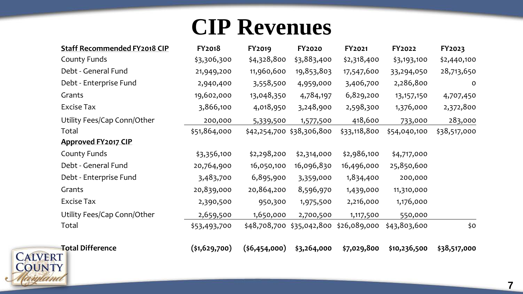#### **CIP Revenues**

| <b>Staff Recommended FY2018 CIP</b> | <b>FY2018</b> | FY2019      | <b>FY2020</b>                          | FY2021       | FY2022       | FY2023       |
|-------------------------------------|---------------|-------------|----------------------------------------|--------------|--------------|--------------|
| County Funds                        | \$3,306,300   | \$4,328,800 | \$3,883,400                            | \$2,318,400  | \$3,193,100  | \$2,440,100  |
| Debt - General Fund                 | 21,949,200    | 11,960,600  | 19,853,803                             | 17,547,600   | 33,294,050   | 28,713,650   |
| Debt - Enterprise Fund              | 2,940,400     | 3,558,500   | 4,959,000                              | 3,406,700    | 2,286,800    | $\mathbf 0$  |
| Grants                              | 19,602,000    | 13,048,350  | 4,784,197                              | 6,829,200    | 13, 157, 150 | 4,707,450    |
| <b>Excise Tax</b>                   | 3,866,100     | 4,018,950   | 3,248,900                              | 2,598,300    | 1,376,000    | 2,372,800    |
| Utility Fees/Cap Conn/Other         | 200,000       | 5,339,500   | 1,577,500                              | 418,600      | 733,000      | 283,000      |
| Total                               | \$51,864,000  |             | \$42,254,700 \$38,306,800              | \$33,118,800 | \$54,040,100 | \$38,517,000 |
| <b>Approved FY2017 CIP</b>          |               |             |                                        |              |              |              |
| County Funds                        | \$3,356,100   | \$2,298,200 | \$2,314,000                            | \$2,986,100  | \$4,717,000  |              |
| Debt - General Fund                 | 20,764,900    | 16,050,100  | 16,096,830                             | 16,496,000   | 25,850,600   |              |
| Debt - Enterprise Fund              | 3,483,700     | 6,895,900   | 3,359,000                              | 1,834,400    | 200,000      |              |
| Grants                              | 20,839,000    | 20,864,200  | 8,596,970                              | 1,439,000    | 11,310,000   |              |
| <b>Excise Tax</b>                   | 2,390,500     | 950,300     | 1,975,500                              | 2,216,000    | 1,176,000    |              |
| Utility Fees/Cap Conn/Other         | 2,659,500     | 1,650,000   | 2,700,500                              | 1,117,500    | 550,000      |              |
| Total                               | \$53,493,700  |             | \$48,708,700 \$35,042,800 \$26,089,000 |              | \$43,803,600 | \$O          |



ama

**Total Difference (\$1,629,700) (\$6,454,000) \$3,264,000 \$7,029,800 \$10,236,500 \$38,517,000**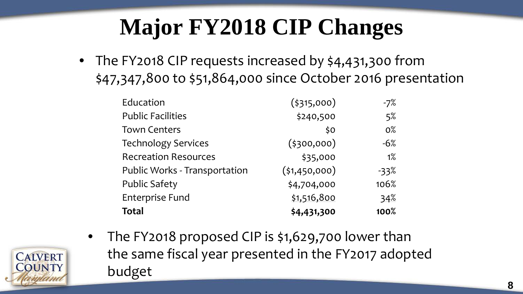### **Major FY2018 CIP Changes**

• The FY2018 CIP requests increased by \$4,431,300 from \$47,347,800 to \$51,864,000 since October 2016 presentation

| Education                     | $($ \$315,000) | $-7%$ |
|-------------------------------|----------------|-------|
| <b>Public Facilities</b>      | \$240,500      | 5%    |
| <b>Town Centers</b>           | \$0            | $0\%$ |
| <b>Technology Services</b>    | $($ \$300,000) | $-6%$ |
| <b>Recreation Resources</b>   | \$35,000       | $1\%$ |
| Public Works - Transportation | (51, 450, 000) | -33%  |
| <b>Public Safety</b>          | \$4,704,000    | 106%  |
| <b>Enterprise Fund</b>        | \$1,516,800    | 34%   |
| <b>Total</b>                  | \$4,431,300    | 100%  |

- **CALVERT**
- The FY2018 proposed CIP is \$1,629,700 lower than the same fiscal year presented in the FY2017 adopted budget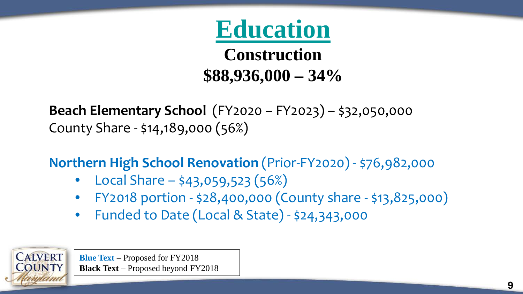

**Construction \$88,936,000 – 34%**

**Beach Elementary School** (FY2020 – FY2023) **–** \$32,050,000 County Share - \$14,189,000 (56%)

**Northern High School Renovation** (Prior-FY2020) - \$76,982,000

- Local Share  $$43,059,523(56%)$
- FY2018 portion \$28,400,000 (County share \$13,825,000)
- Funded to Date (Local & State) \$24,343,000

**Blue Text** – Proposed for FY2018 **Black Text** – Proposed beyond FY2018

**CALVERT OUNTY**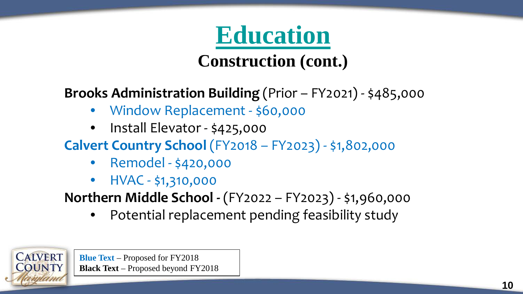## **Education**

**Construction (cont.)**

**Brooks Administration Building** (Prior – FY2021) - \$485,000

- Window Replacement \$60,000
- Install Elevator \$425,000
- **Calvert Country School** (FY2018 FY2023) \$1,802,000
	- Remodel \$420,000
	- HVAC \$1,310,000

**Northern Middle School -** (FY2022 – FY2023) - \$1,960,000

• Potential replacement pending feasibility study

**Blue Text** – Proposed for FY2018 **Black Text** – Proposed beyond FY2018

**CALVERT**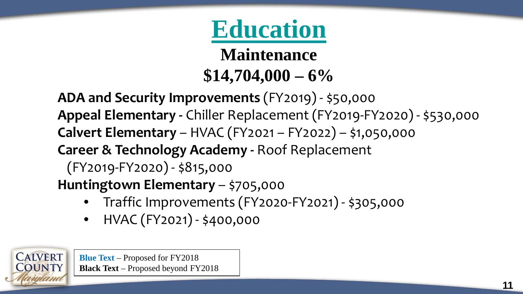### **Education**

**Maintenance \$14,704,000 – 6%**

**ADA and Security Improvements** (FY2019) - \$50,000 **Appeal Elementary -** Chiller Replacement (FY2019-FY2020) - \$530,000 **Calvert Elementary** – HVAC (FY2021 – FY2022) – \$1,050,000 **Career & Technology Academy -** Roof Replacement (FY2019-FY2020) - \$815,000 **Huntingtown Elementary** – \$705,000

- Traffic Improvements (FY2020-FY2021) \$305,000
- HVAC (FY2021) \$400,000

**Blue Text** – Proposed for FY2018 **Black Text** – Proposed beyond FY2018

**CALVERT**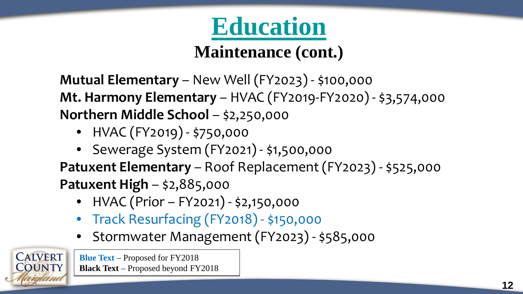

#### **Maintenance (cont.)**

**Mutual Elementary** – New Well (FY2023) - \$100,000 **Mt. Harmony Elementary** – HVAC (FY2019-FY2020) - \$3,574,000 **Northern Middle School - \$2,250,000** 

- HVAC (FY2019) \$750,000
- Sewerage System (FY2021) \$1,500,000

**Patuxent Elementary** – Roof Replacement (FY2023) - \$525,000 **Patuxent High** – \$2,885,000

- HVAC (Prior FY2021) \$2,150,000
- Track Resurfacing (FY2018) \$150,000
- Stormwater Management (FY2023) \$585,000

**CALVERT**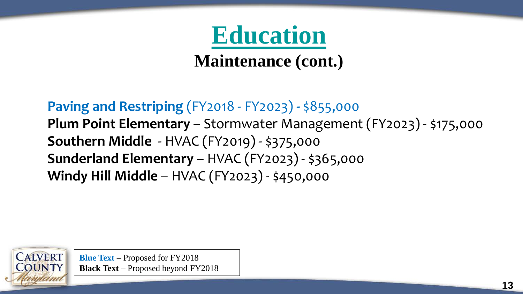

**Maintenance (cont.)**

**Paving and Restriping** (FY2018 - FY2023) **-** \$855,000 **Plum Point Elementary** – Stormwater Management (FY2023) - \$175,000 **Southern Middle** - HVAC (FY2019) - \$375,000 **Sunderland Elementary** – HVAC (FY2023) - \$365,000 **Windy Hill Middle** – HVAC (FY2023) - \$450,000

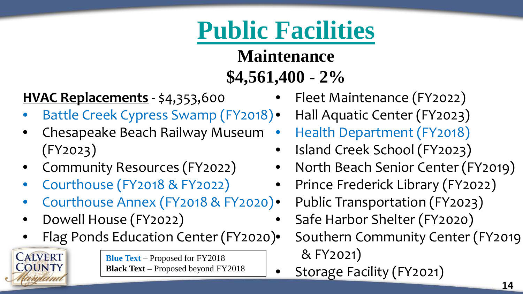#### **Maintenance \$4,561,400 - 2%**

#### **HVAC Replacements** - \$4,353,600

- Battle Creek Cypress Swamp (FY2018).
- Chesapeake Beach Railway Museum (FY2023)
- Community Resources (FY2022)
- Courthouse (FY2018 & FY2022)

**CALVERT OUNTY** 

- Courthouse Annex (FY2018 & FY2020)
- Dowell House (FY2022)
- Flag Ponds Education Center (FY2020)

- Fleet Maintenance (FY2022)
- Hall Aquatic Center (FY2023)
- Health Department (FY2018)
- Island Creek School (FY2023)
- North Beach Senior Center (FY2019)
- Prince Frederick Library (FY2022)
	- Public Transportation (FY2023)
- Safe Harbor Shelter (FY2020)
	- Southern Community Center (FY2019 & FY2021)
- Storage Facility (FY2021)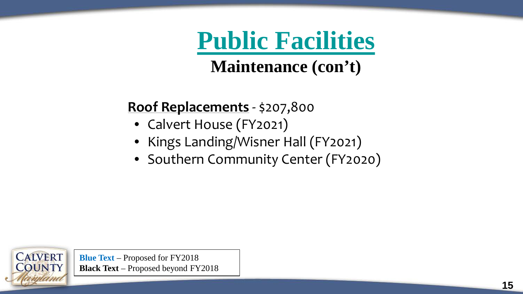**Maintenance (con't)**

#### **Roof Replacements** - \$207,800

- Calvert House (FY2021)
- Kings Landing/Wisner Hall (FY2021)
- Southern Community Center (FY2020)

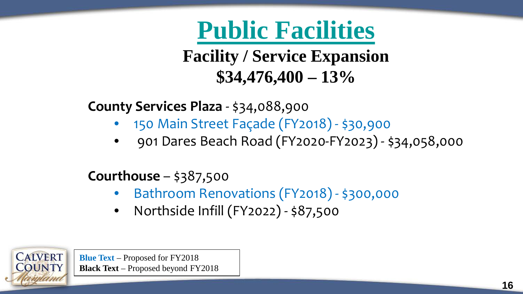**Facility / Service Expansion \$34,476,400 – 13%**

**County Services Plaza** - \$34,088,900

- 150 Main Street Façade (FY2018) \$30,900
- 901 Dares Beach Road (FY2020-FY2023) \$34,058,000

#### **Courthouse** – \$387,500

- Bathroom Renovations (FY2018) \$300,000
- Northside Infill (FY2022) \$87,500

**Blue Text** – Proposed for FY2018 **Black Text** – Proposed beyond FY2018

**CALVERT OUNTY**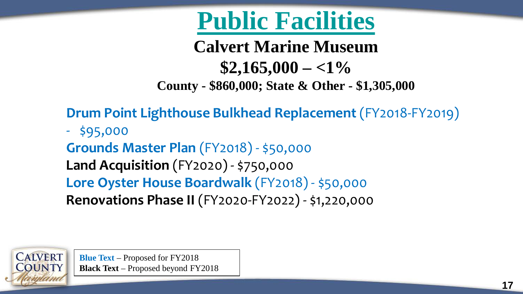**Calvert Marine Museum \$2,165,000 – <1% County - \$860,000; State & Other - \$1,305,000**

**Drum Point Lighthouse Bulkhead Replacement** (FY2018-FY2019)

- \$95,000 **Grounds Master Plan** (FY2018) - \$50,000 **Land Acquisition** (FY2020) - \$750,000 **Lore Oyster House Boardwalk** (FY2018) - \$50,000 **Renovations Phase II** (FY2020-FY2022) - \$1,220,000

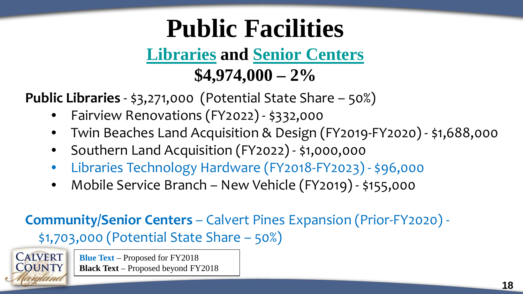#### **Libraries and Senior Centers \$4,974,000 – 2%**

**Public Libraries** - \$3,271,000 (Potential State Share – 50%)

- Fairview Renovations (FY2022) \$332,000
- Twin Beaches Land Acquisition & Design (FY2019-FY2020) \$1,688,000
- Southern Land Acquisition (FY2022) \$1,000,000
- Libraries Technology Hardware (FY2018-FY2023) \$96,000
- Mobile Service Branch New Vehicle (FY2019) \$155,000

#### **Community/Senior Centers** – Calvert Pines Expansion (Prior-FY2020) - \$1,703,000 (Potential State Share – 50%)

**CALVERT Blue Text** – Proposed for FY2018 **Black Text** – Proposed beyond FY2018 **OUNTY**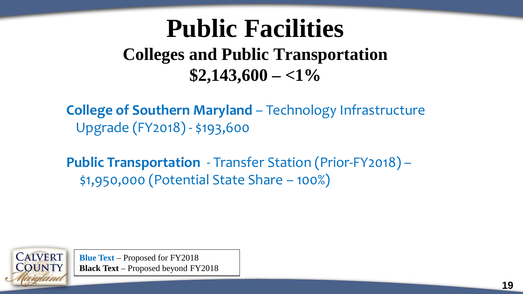#### **Public Facilities Colleges and Public Transportation \$2,143,600 – <1%**

**College of Southern Maryland** – Technology Infrastructure Upgrade (FY2018) - \$193,600

**Public Transportation** - Transfer Station (Prior-FY2018) – \$1,950,000 (Potential State Share – 100%)

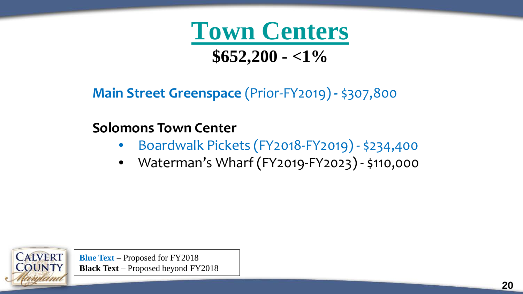

#### **Main Street Greenspace** (Prior-FY2019) **-** \$307,800

#### **Solomons Town Center**

- Boardwalk Pickets (FY2018-FY2019) \$234,400
- Waterman's Wharf (FY2019-FY2023) \$110,000

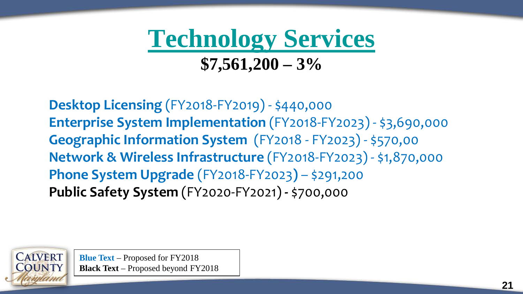### **Technology Services \$7,561,200 – 3%**

**Desktop Licensing** (FY2018-FY2019) - \$440,000 **Enterprise System Implementation** (FY2018-FY2023) - \$3,690,000 **Geographic Information System** (FY2018 - FY2023) - \$570,00 **Network & Wireless Infrastructure** (FY2018-FY2023) - \$1,870,000 **Phone System Upgrade** (FY2018-FY2023**)** – \$291,200 **Public Safety System** (FY2020-FY2021) **-** \$700,000

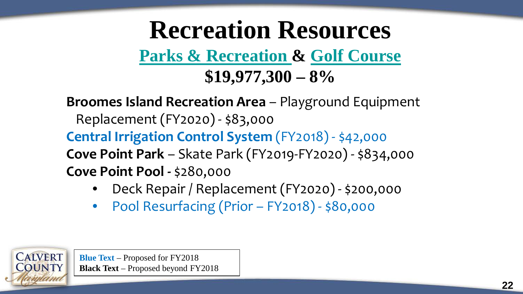### **Recreation Resources Parks & Recreation & Golf Course \$19,977,300 – 8%**

**Broomes Island Recreation Area** – Playground Equipment Replacement (FY2020) - \$83,000 **Central Irrigation Control System** (FY2018) - \$42,000 **Cove Point Park** – Skate Park (FY2019-FY2020) - \$834,000 **Cove Point Pool -** \$280,000

- Deck Repair / Replacement (FY2020) \$200,000
- Pool Resurfacing (Prior FY2018) \$80,000

**Blue Text** – Proposed for FY2018 **Black Text** – Proposed beyond FY2018

**CALVERT**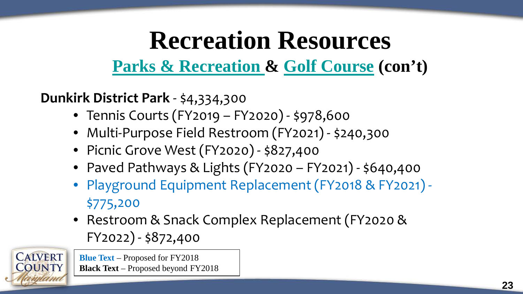**Parks & Recreation & Golf Course (con't)**

**Dunkirk District Park** - \$4,334,300

- Tennis Courts (FY2019 FY2020) \$978,600
- Multi-Purpose Field Restroom (FY2021) \$240,300
- Picnic Grove West (FY2020) \$827,400
- Paved Pathways & Lights (FY2020 FY2021) \$640,400
- Playground Equipment Replacement (FY2018 & FY2021) \$775,200
- Restroom & Snack Complex Replacement (FY2020 & FY2022) - \$872,400

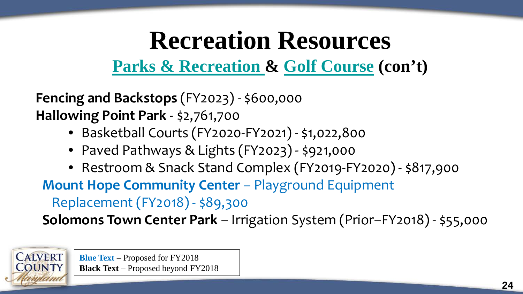**Parks & Recreation & Golf Course (con't)**

**Fencing and Backstops** (FY2023) - \$600,000 **Hallowing Point Park** - \$2,761,700

- Basketball Courts (FY2020-FY2021) \$1,022,800
- Paved Pathways & Lights (FY2023) \$921,000
- Restroom & Snack Stand Complex (FY2019-FY2020) \$817,900

**Mount Hope Community Center - Playground Equipment** 

Replacement (FY2018) - \$89,300

**Solomons Town Center Park** – Irrigation System (Prior–FY2018) - \$55,000

**Blue Text** – Proposed for FY2018 **Black Text** – Proposed beyond FY2018

**CALVERT**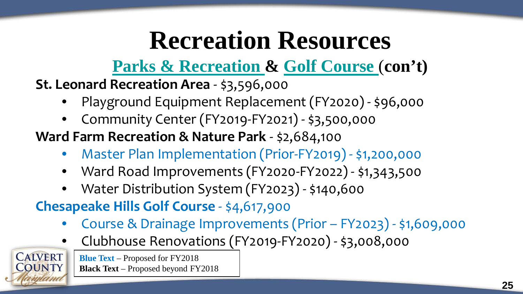**Parks & Recreation & Golf Course** (**con't)**

**St. Leonard Recreation Area** - \$3,596,000

- Playground Equipment Replacement (FY2020) \$96,000
- Community Center (FY2019-FY2021) \$3,500,000

**Ward Farm Recreation & Nature Park** - \$2,684,100

- Master Plan Implementation (Prior-FY2019) \$1,200,000
- Ward Road Improvements (FY2020-FY2022) \$1,343,500
- Water Distribution System (FY2023) \$140,600

**Chesapeake Hills Golf Course** - \$4,617,900

- Course & Drainage Improvements (Prior FY2023) \$1,609,000
- Clubhouse Renovations (FY2019-FY2020) \$3,008,000

**Blue Text** – Proposed for FY2018 **Black Text** – Proposed beyond FY2018

**CALVERT**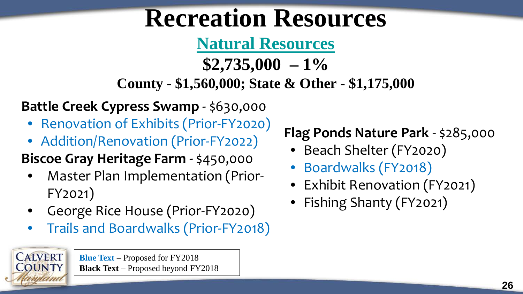**Natural Resources**

**\$2,735,000 – 1% County - \$1,560,000; State & Other - \$1,175,000**

**Battle Creek Cypress Swamp** - \$630,000

- Renovation of Exhibits (Prior-FY2020)
- Addition/Renovation (Prior-FY2022)

#### **Biscoe Gray Heritage Farm -** \$450,000

- Master Plan Implementation (Prior-FY2021)
- George Rice House (Prior-FY2020)
- Trails and Boardwalks (Prior-FY2018)

**Blue Text** – Proposed for FY2018 **Black Text** – Proposed beyond FY2018

**CALVERT** 

#### **Flag Ponds Nature Park** - \$285,000

- Beach Shelter (FY2020)
- Boardwalks (FY2018)
- Exhibit Renovation (FY2021)
- Fishing Shanty (FY2021)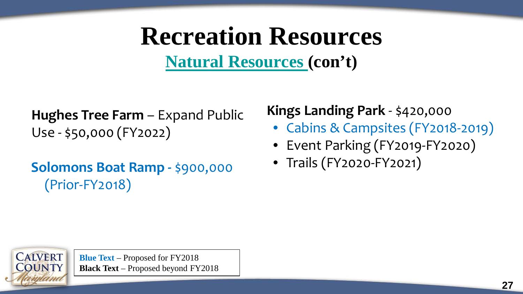**Natural Resources (con't)**

**Hughes Tree Farm** – Expand Public Use - \$50,000 (FY2022)

**Solomons Boat Ramp - \$900,000** (Prior-FY2018)

#### **Kings Landing Park** - \$420,000

- Cabins & Campsites (FY2018-2019)
- Event Parking (FY2019-FY2020)
- Trails (FY2020-FY2021)

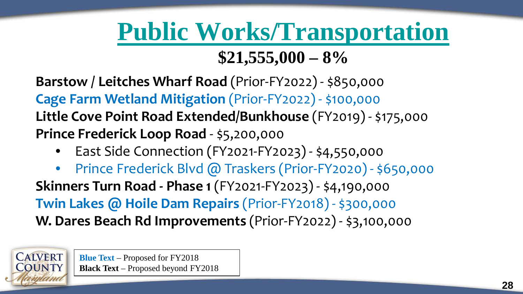#### **Public Works/Transportation \$21,555,000 – 8%**

#### **Barstow / Leitches Wharf Road** (Prior-FY2022) - \$850,000 **Cage Farm Wetland Mitigation** (Prior-FY2022) - \$100,000 **Little Cove Point Road Extended/Bunkhouse** (FY2019) - \$175,000 **Prince Frederick Loop Road** - \$5,200,000

• East Side Connection (FY2021-FY2023) - \$4,550,000

• Prince Frederick Blvd @ Traskers (Prior-FY2020) - \$650,000 **Skinners Turn Road - Phase 1** (FY2021-FY2023) - \$4,190,000 **Twin Lakes @ Hoile Dam Repairs** (Prior-FY2018) - \$300,000 **W. Dares Beach Rd Improvements** (Prior-FY2022) - \$3,100,000

> **Blue Text** – Proposed for FY2018 **Black Text** – Proposed beyond FY2018

**CALVERT**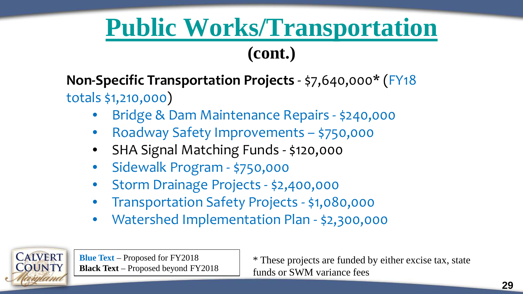### **Public Works/Transportation**

#### **(cont.)**

#### **Non-Specific Transportation Projects** - \$7,640,000\* (FY18 totals \$1,210,000)

- Bridge & Dam Maintenance Repairs \$240,000
- Roadway Safety Improvements \$750,000
- SHA Signal Matching Funds \$120,000
- Sidewalk Program \$750,000
- Storm Drainage Projects \$2,400,000
- Transportation Safety Projects \$1,080,000
- Watershed Implementation Plan \$2,300,000



**Blue Text** – Proposed for FY2018 **Black Text** – Proposed beyond FY2018

\* These projects are funded by either excise tax, state funds or SWM variance fees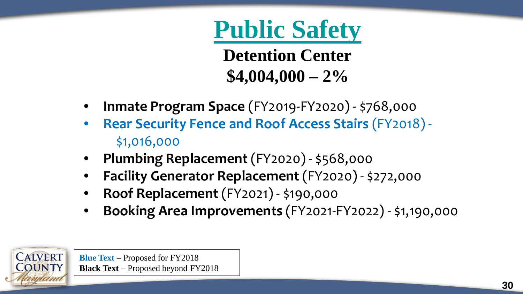### **Public Safety**

**Detention Center \$4,004,000 – 2%**

- **Inmate Program Space** (FY2019-FY2020) \$768,000
- **Rear Security Fence and Roof Access Stairs** (FY2018) \$1,016,000
- **Plumbing Replacement** (FY2020) \$568,000
- **Facility Generator Replacement** (FY2020) \$272,000
- **Roof Replacement** (FY2021) \$190,000
- **Booking Area Improvements** (FY2021-FY2022) \$1,190,000

**Blue Text** – Proposed for FY2018 **Black Text** – Proposed beyond FY2018

**CALVERT**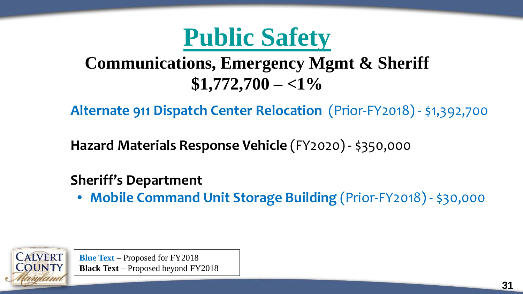

#### **Communications, Emergency Mgmt & Sheriff \$1,772,700 – <1%**

**Alternate 911 Dispatch Center Relocation** (Prior-FY2018) - \$1,392,700

**Hazard Materials Response Vehicle** (FY2020) - \$350,000

#### **Sheriff's Department**

• **Mobile Command Unit Storage Building** (Prior-FY2018) - \$30,000

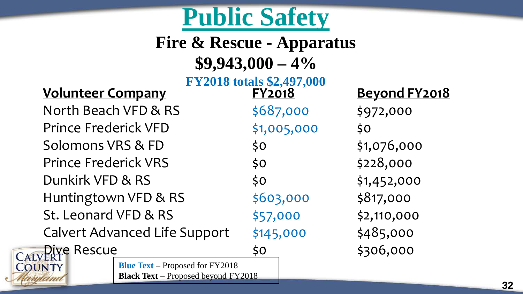### **Public Safety**

#### **Fire & Rescue - Apparatus \$9,943,000 – 4%**

### **FY2018 totals \$2,497,000**<br>**EY2018 Beyond FY2018**

North Beach VFD & RS  $$687,000$  \$972,000 Prince Frederick VFD \$1,005,000 \$0 Solomons VRS & FD  $\uparrow$  \$0  $\downarrow$  \$1,076,000 Prince Frederick VRS \$0 \$228,000 Dunkirk VFD & RS \$0 \$1,452,000 Huntingtown VFD & RS  $$603,000$  \$817,000 St. Leonard VFD & RS  $$57,000$  \$2,110,000 Calvert Advanced Life Support  $\frac{1}{2}145,000$  \$485,000

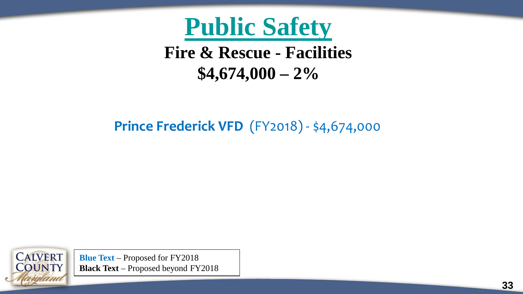

#### **Fire & Rescue - Facilities \$4,674,000 – 2%**

#### **Prince Frederick VFD** (FY2018) - \$4,674,000

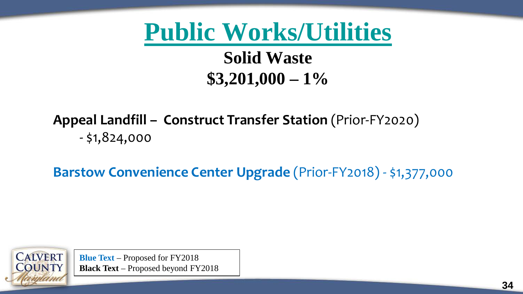**Public Works/Utilities Solid Waste \$3,201,000 – 1%**

**Appeal Landfill – Construct Transfer Station** (Prior-FY2020)  $-$  \$1,824,000

**Barstow Convenience Center Upgrade** (Prior-FY2018) - \$1,377,000

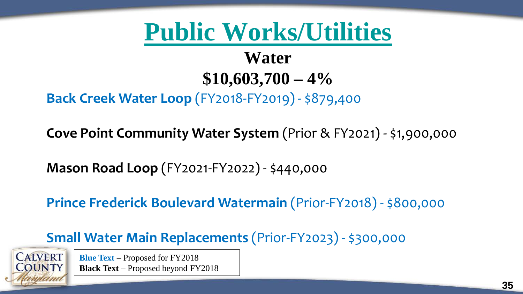#### **Water \$10,603,700 – 4%**

#### **Back Creek Water Loop** (FY2018-FY2019) - \$879,400

**Cove Point Community Water System** (Prior & FY2021) - \$1,900,000

**Mason Road Loop** (FY2021-FY2022) - \$440,000

**Prince Frederick Boulevard Watermain** (Prior-FY2018) - \$800,000

**Small Water Main Replacements** (Prior-FY2023) - \$300,000

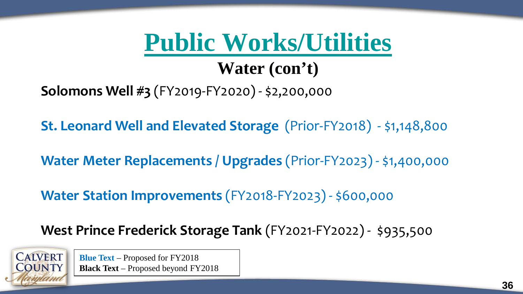#### **Water (con't)**

**Solomons Well #3** (FY2019-FY2020) - \$2,200,000

**St. Leonard Well and Elevated Storage** (Prior-FY2018) - \$1,148,800

**Water Meter Replacements / Upgrades** (Prior-FY2023) - \$1,400,000

**Water Station Improvements** (FY2018-FY2023) - \$600,000

**West Prince Frederick Storage Tank** (FY2021-FY2022) - \$935,500

**CALVERT OUNTY**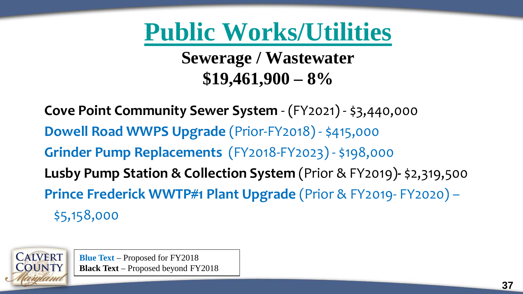**Sewerage / Wastewater \$19,461,900 – 8%**

**Cove Point Community Sewer System** - (FY2021) - \$3,440,000 **Dowell Road WWPS Upgrade** (Prior-FY2018) - \$415,000 **Grinder Pump Replacements** (FY2018-FY2023) - \$198,000 **Lusby Pump Station & Collection System** (Prior & FY2019)**-** \$2,319,500 **Prince Frederick WWTP#1 Plant Upgrade** (Prior & FY2019- FY2020) – \$5,158,000

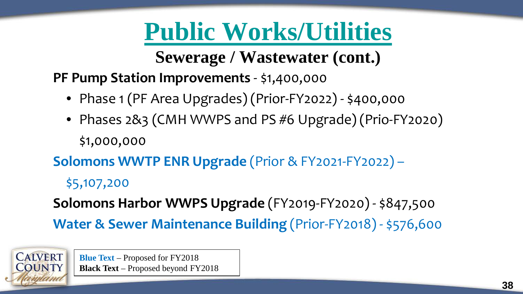**Sewerage / Wastewater (cont.)**

**PF Pump Station Improvements** - \$1,400,000

- Phase 1 (PF Area Upgrades) (Prior-FY2022) \$400,000
- Phases 2&3 (CMH WWPS and PS #6 Upgrade) (Prio-FY2020) \$1,000,000

**Solomons WWTP ENR Upgrade** (Prior & FY2021-FY2022) –

\$5,107,200

**CALVERT OUNTY** 

**Solomons Harbor WWPS Upgrade** (FY2019-FY2020) - \$847,500 **Water & Sewer Maintenance Building** (Prior-FY2018) - \$576,600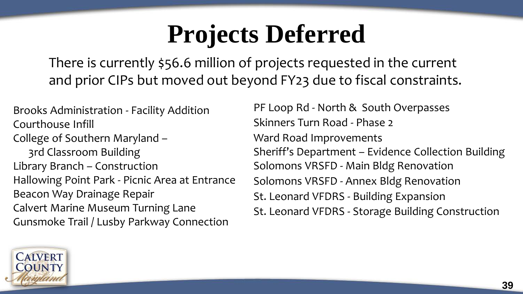### **Projects Deferred**

There is currently \$56.6 million of projects requested in the current and prior CIPs but moved out beyond FY23 due to fiscal constraints.

Brooks Administration - Facility Addition Courthouse Infill College of Southern Maryland – 3rd Classroom Building Library Branch – Construction Hallowing Point Park - Picnic Area at Entrance Beacon Way Drainage Repair Calvert Marine Museum Turning Lane Gunsmoke Trail / Lusby Parkway Connection

PF Loop Rd - North & South Overpasses Skinners Turn Road - Phase 2 Ward Road Improvements Sheriff's Department – Evidence Collection Building Solomons VRSFD - Main Bldg Renovation Solomons VRSFD - Annex Bldg Renovation St. Leonard VFDRS - Building Expansion St. Leonard VFDRS - Storage Building Construction